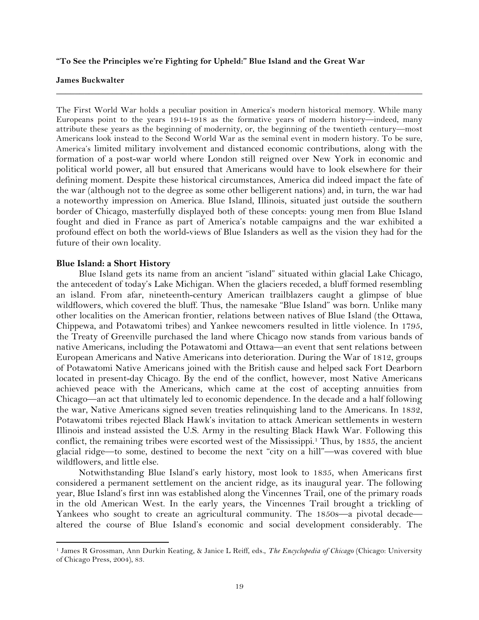### **"To See the Principles we're Fighting for Upheld:" Blue Island and the Great War**

#### **James Buckwalter**

The First World War holds a peculiar position in America's modern historical memory. While many Europeans point to the years 1914-1918 as the formative years of modern history—indeed, many attribute these years as the beginning of modernity, or, the beginning of the twentieth century—most Americans look instead to the Second World War as the seminal event in modern history. To be sure, America's limited military involvement and distanced economic contributions, along with the formation of a post-war world where London still reigned over New York in economic and political world power, all but ensured that Americans would have to look elsewhere for their defining moment. Despite these historical circumstances, America did indeed impact the fate of the war (although not to the degree as some other belligerent nations) and, in turn, the war had a noteworthy impression on America. Blue Island, Illinois, situated just outside the southern border of Chicago, masterfully displayed both of these concepts: young men from Blue Island fought and died in France as part of America's notable campaigns and the war exhibited a profound effect on both the world-views of Blue Islanders as well as the vision they had for the future of their own locality.

**\_\_\_\_\_\_\_\_\_\_\_\_\_\_\_\_\_\_\_\_\_\_\_\_\_\_\_\_\_\_\_\_\_\_\_\_\_\_\_\_\_\_\_\_\_\_\_\_\_\_\_\_\_\_\_\_\_\_\_\_\_\_\_\_\_\_\_\_\_\_\_\_\_\_\_\_\_\_**

#### **Blue Island: a Short History**

!!!!!!!!!!!!!!!!!!!!!!!!!!!!!!!!!!!!!!!!!!!!!!!!!!!!!!!!!!!!

Blue Island gets its name from an ancient "island" situated within glacial Lake Chicago, the antecedent of today's Lake Michigan. When the glaciers receded, a bluff formed resembling an island. From afar, nineteenth-century American trailblazers caught a glimpse of blue wildflowers, which covered the bluff. Thus, the namesake "Blue Island" was born. Unlike many other localities on the American frontier, relations between natives of Blue Island (the Ottawa, Chippewa, and Potawatomi tribes) and Yankee newcomers resulted in little violence. In 1795, the Treaty of Greenville purchased the land where Chicago now stands from various bands of native Americans, including the Potawatomi and Ottawa—an event that sent relations between European Americans and Native Americans into deterioration. During the War of 1812, groups of Potawatomi Native Americans joined with the British cause and helped sack Fort Dearborn located in present-day Chicago. By the end of the conflict, however, most Native Americans achieved peace with the Americans, which came at the cost of accepting annuities from Chicago—an act that ultimately led to economic dependence. In the decade and a half following the war, Native Americans signed seven treaties relinquishing land to the Americans. In 1832, Potawatomi tribes rejected Black Hawk's invitation to attack American settlements in western Illinois and instead assisted the U.S. Army in the resulting Black Hawk War. Following this conflict, the remaining tribes were escorted west of the Mississippi.1 Thus, by 1835, the ancient glacial ridge—to some, destined to become the next "city on a hill"—was covered with blue wildflowers, and little else.

Notwithstanding Blue Island's early history, most look to 1835, when Americans first considered a permanent settlement on the ancient ridge, as its inaugural year. The following year, Blue Island's first inn was established along the Vincennes Trail, one of the primary roads in the old American West. In the early years, the Vincennes Trail brought a trickling of Yankees who sought to create an agricultural community. The 1850s—a pivotal decade altered the course of Blue Island's economic and social development considerably. The

<sup>1</sup> James R Grossman, Ann Durkin Keating, & Janice L Reiff, eds., *The Encyclopedia of Chicago* (Chicago: University of Chicago Press, 2004), 83.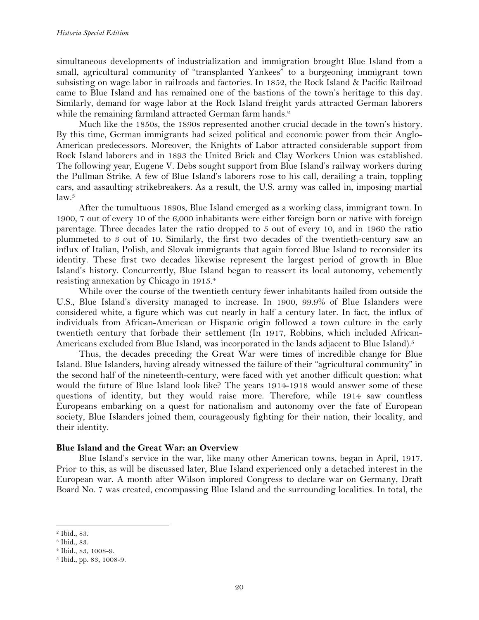simultaneous developments of industrialization and immigration brought Blue Island from a small, agricultural community of "transplanted Yankees" to a burgeoning immigrant town subsisting on wage labor in railroads and factories. In 1852, the Rock Island & Pacific Railroad came to Blue Island and has remained one of the bastions of the town's heritage to this day. Similarly, demand for wage labor at the Rock Island freight yards attracted German laborers while the remaining farmland attracted German farm hands.<sup>2</sup>

Much like the 1850s, the 1890s represented another crucial decade in the town's history. By this time, German immigrants had seized political and economic power from their Anglo-American predecessors. Moreover, the Knights of Labor attracted considerable support from Rock Island laborers and in 1893 the United Brick and Clay Workers Union was established. The following year, Eugene V. Debs sought support from Blue Island's railway workers during the Pullman Strike. A few of Blue Island's laborers rose to his call, derailing a train, toppling cars, and assaulting strikebreakers. As a result, the U.S. army was called in, imposing martial  $law.<sup>3</sup>$ 

After the tumultuous 1890s, Blue Island emerged as a working class, immigrant town. In 1900, 7 out of every 10 of the 6,000 inhabitants were either foreign born or native with foreign parentage. Three decades later the ratio dropped to 5 out of every 10, and in 1960 the ratio plummeted to 3 out of 10. Similarly, the first two decades of the twentieth-century saw an influx of Italian, Polish, and Slovak immigrants that again forced Blue Island to reconsider its identity. These first two decades likewise represent the largest period of growth in Blue Island's history. Concurrently, Blue Island began to reassert its local autonomy, vehemently resisting annexation by Chicago in 1915.4

While over the course of the twentieth century fewer inhabitants hailed from outside the U.S., Blue Island's diversity managed to increase. In 1900, 99.9% of Blue Islanders were considered white, a figure which was cut nearly in half a century later. In fact, the influx of individuals from African-American or Hispanic origin followed a town culture in the early twentieth century that forbade their settlement (In 1917, Robbins, which included African-Americans excluded from Blue Island, was incorporated in the lands adjacent to Blue Island).<sup>5</sup>

Thus, the decades preceding the Great War were times of incredible change for Blue Island. Blue Islanders, having already witnessed the failure of their "agricultural community" in the second half of the nineteenth-century, were faced with yet another difficult question: what would the future of Blue Island look like? The years 1914-1918 would answer some of these questions of identity, but they would raise more. Therefore, while 1914 saw countless Europeans embarking on a quest for nationalism and autonomy over the fate of European society, Blue Islanders joined them, courageously fighting for their nation, their locality, and their identity.

# **Blue Island and the Great War: an Overview**

Blue Island's service in the war, like many other American towns, began in April, 1917. Prior to this, as will be discussed later, Blue Island experienced only a detached interest in the European war. A month after Wilson implored Congress to declare war on Germany, Draft Board No. 7 was created, encompassing Blue Island and the surrounding localities. In total, the

<sup>2</sup> Ibid., 83.

<sup>3</sup> Ibid*.*, 83.

<sup>4</sup> Ibid., 83, 1008-9.

<sup>5</sup> Ibid., pp. 83, 1008-9.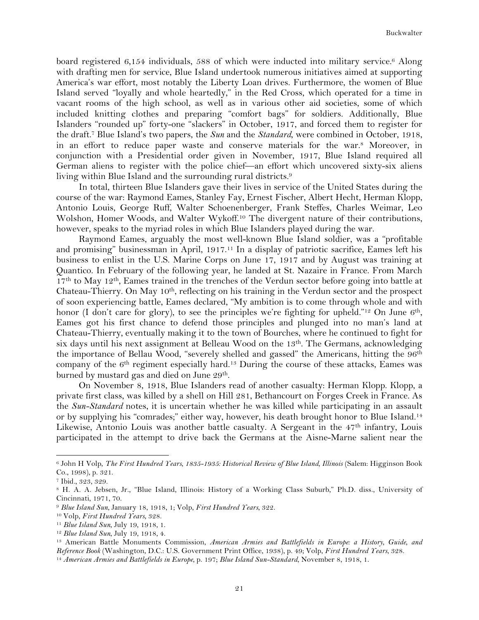board registered 6,154 individuals, 588 of which were inducted into military service.<sup>6</sup> Along with drafting men for service, Blue Island undertook numerous initiatives aimed at supporting America's war effort, most notably the Liberty Loan drives. Furthermore, the women of Blue Island served "loyally and whole heartedly," in the Red Cross, which operated for a time in vacant rooms of the high school, as well as in various other aid societies, some of which included knitting clothes and preparing "comfort bags" for soldiers. Additionally, Blue Islanders "rounded up" forty-one "slackers" in October, 1917, and forced them to register for the draft.7 Blue Island's two papers, the *Sun* and the *Standard*, were combined in October, 1918, in an effort to reduce paper waste and conserve materials for the war.8 Moreover, in conjunction with a Presidential order given in November, 1917, Blue Island required all German aliens to register with the police chief—an effort which uncovered sixty-six aliens living within Blue Island and the surrounding rural districts.<sup>9</sup>

In total, thirteen Blue Islanders gave their lives in service of the United States during the course of the war: Raymond Eames, Stanley Fay, Ernest Fischer, Albert Hecht, Herman Klopp, Antonio Louis, George Ruff, Walter Schoenenberger, Frank Steffes, Charles Weimar, Leo Wolshon, Homer Woods, and Walter Wykoff.10 The divergent nature of their contributions, however, speaks to the myriad roles in which Blue Islanders played during the war.

Raymond Eames, arguably the most well-known Blue Island soldier, was a "profitable and promising" businessman in April, 1917.11 In a display of patriotic sacrifice, Eames left his business to enlist in the U.S. Marine Corps on June 17, 1917 and by August was training at Quantico. In February of the following year, he landed at St. Nazaire in France. From March 17<sup>th</sup> to May 12<sup>th</sup>, Eames trained in the trenches of the Verdun sector before going into battle at Chateau-Thierry. On May 10th, reflecting on his training in the Verdun sector and the prospect of soon experiencing battle, Eames declared, "My ambition is to come through whole and with honor (I don't care for glory), to see the principles we're fighting for upheld."<sup>12</sup> On June 6<sup>th</sup>, Eames got his first chance to defend those principles and plunged into no man's land at Chateau-Thierry, eventually making it to the town of Bourches, where he continued to fight for six days until his next assignment at Belleau Wood on the 13<sup>th</sup>. The Germans, acknowledging the importance of Bellau Wood, "severely shelled and gassed" the Americans, hitting the 96th company of the 6th regiment especially hard.13 During the course of these attacks, Eames was burned by mustard gas and died on June 29<sup>th</sup>.

On November 8, 1918, Blue Islanders read of another casualty: Herman Klopp. Klopp, a private first class, was killed by a shell on Hill 281, Bethancourt on Forges Creek in France. As the *Sun-Standard* notes, it is uncertain whether he was killed while participating in an assault or by supplying his "comrades;" either way, however, his death brought honor to Blue Island.14 Likewise, Antonio Louis was another battle casualty. A Sergeant in the 47<sup>th</sup> infantry, Louis participated in the attempt to drive back the Germans at the Aisne-Marne salient near the

<sup>6</sup> John H Volp, *The First Hundred Years, 1835-1935: Historical Review of Blue Island, Illinois* (Salem: Higginson Book Co., 1998), p. 321.

<sup>7</sup> Ibid*.*, 323, 329.

<sup>8</sup> H. A. A. Jebsen, Jr., "Blue Island, Illinois: History of a Working Class Suburb," Ph.D. diss., University of Cincinnati, 1971, 70.

<sup>9</sup> *Blue Island Sun*, January 18, 1918, 1; Volp, *First Hundred Years*, 322.

<sup>10</sup> Volp, *First Hundred Years*, 328.

<sup>11</sup> *Blue Island Sun*, July 19, 1918, 1.

<sup>12</sup> *Blue Island Sun*, July 19, 1918, 4.

<sup>13</sup> American Battle Monuments Commission, *American Armies and Battlefields in Europe: a History, Guide, and Reference Book* (Washington, D.C.: U.S. Government Print Office, 1938), p. 49; Volp, *First Hundred Years*, 328. <sup>14</sup> *American Armies and Battlefields in Europe*, p. 197; *Blue Island Sun-Standard*, November 8, 1918, 1.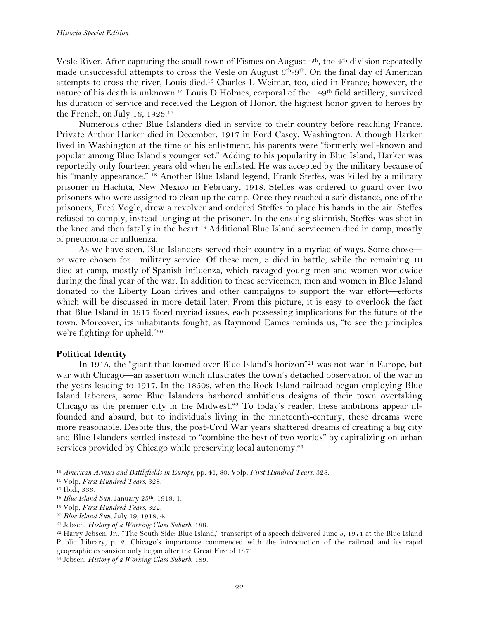Vesle River. After capturing the small town of Fismes on August  $4<sup>th</sup>$ , the  $4<sup>th</sup>$  division repeatedly made unsuccessful attempts to cross the Vesle on August  $6<sup>th</sup>-9<sup>th</sup>$ . On the final day of American attempts to cross the river, Louis died.15 Charles L Weimar, too, died in France; however, the nature of his death is unknown.16 Louis D Holmes, corporal of the 149th field artillery, survived his duration of service and received the Legion of Honor, the highest honor given to heroes by the French, on July 16, 1923.17

Numerous other Blue Islanders died in service to their country before reaching France. Private Arthur Harker died in December, 1917 in Ford Casey, Washington. Although Harker lived in Washington at the time of his enlistment, his parents were "formerly well-known and popular among Blue Island's younger set." Adding to his popularity in Blue Island, Harker was reportedly only fourteen years old when he enlisted. He was accepted by the military because of his "manly appearance." <sup>18</sup> Another Blue Island legend, Frank Steffes, was killed by a military prisoner in Hachita, New Mexico in February, 1918. Steffes was ordered to guard over two prisoners who were assigned to clean up the camp. Once they reached a safe distance, one of the prisoners, Fred Vogle, drew a revolver and ordered Steffes to place his hands in the air. Steffes refused to comply, instead lunging at the prisoner. In the ensuing skirmish, Steffes was shot in the knee and then fatally in the heart.19 Additional Blue Island servicemen died in camp, mostly of pneumonia or influenza.

As we have seen, Blue Islanders served their country in a myriad of ways. Some chose or were chosen for—military service. Of these men, 3 died in battle, while the remaining 10 died at camp, mostly of Spanish influenza, which ravaged young men and women worldwide during the final year of the war. In addition to these servicemen, men and women in Blue Island donated to the Liberty Loan drives and other campaigns to support the war effort—efforts which will be discussed in more detail later. From this picture, it is easy to overlook the fact that Blue Island in 1917 faced myriad issues, each possessing implications for the future of the town. Moreover, its inhabitants fought, as Raymond Eames reminds us, "to see the principles we're fighting for upheld."20

# **Political Identity**

In 1915, the "giant that loomed over Blue Island's horizon"21 was not war in Europe, but war with Chicago—an assertion which illustrates the town's detached observation of the war in the years leading to 1917. In the 1850s, when the Rock Island railroad began employing Blue Island laborers, some Blue Islanders harbored ambitious designs of their town overtaking Chicago as the premier city in the Midwest.<sup>22</sup> To today's reader, these ambitions appear illfounded and absurd, but to individuals living in the nineteenth-century, these dreams were more reasonable. Despite this, the post-Civil War years shattered dreams of creating a big city and Blue Islanders settled instead to "combine the best of two worlds" by capitalizing on urban services provided by Chicago while preserving local autonomy.<sup>23</sup>

<sup>15</sup> *American Armies and Battlefields in Europe*, pp. 41, 80; Volp, *First Hundred Years*, 328.

<sup>16</sup> Volp, *First Hundred Years*, 328.

<sup>17</sup> Ibid., 336.

<sup>&</sup>lt;sup>18</sup> *Blue Island Sun*, January 25<sup>th</sup>, 1918, 1.

<sup>19</sup> Volp, *First Hundred Years*, 322.

<sup>20</sup> *Blue Island Sun*, July 19, 1918, 4.

<sup>21</sup> Jebsen, *History of a Working Class Suburb*, 188.

<sup>22</sup> Harry Jebsen, Jr., "The South Side: Blue Island," transcript of a speech delivered June 5, 1974 at the Blue Island Public Library, p. 2. Chicago's importance commenced with the introduction of the railroad and its rapid geographic expansion only began after the Great Fire of 1871.

<sup>23</sup> Jebsen, *History of a Working Class Suburb*, 189.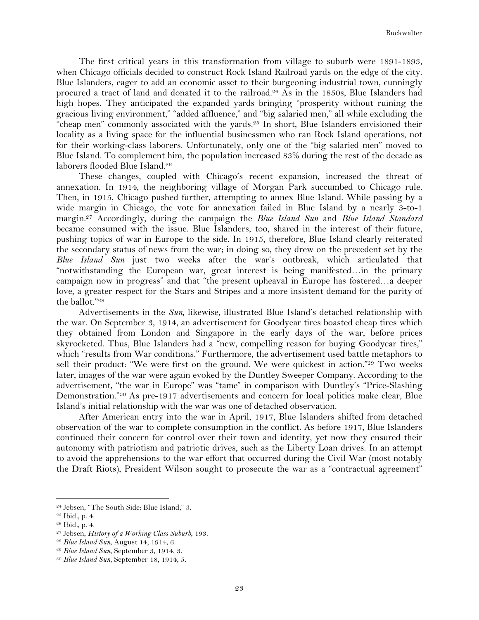The first critical years in this transformation from village to suburb were 1891-1893, when Chicago officials decided to construct Rock Island Railroad yards on the edge of the city. Blue Islanders, eager to add an economic asset to their burgeoning industrial town, cunningly procured a tract of land and donated it to the railroad.24 As in the 1850s, Blue Islanders had high hopes. They anticipated the expanded yards bringing "prosperity without ruining the gracious living environment," "added affluence," and "big salaried men," all while excluding the "cheap men" commonly associated with the yards.25 In short, Blue Islanders envisioned their locality as a living space for the influential businessmen who ran Rock Island operations, not for their working-class laborers. Unfortunately, only one of the "big salaried men" moved to Blue Island. To complement him, the population increased 83% during the rest of the decade as laborers flooded Blue Island.26

These changes, coupled with Chicago's recent expansion, increased the threat of annexation. In 1914, the neighboring village of Morgan Park succumbed to Chicago rule. Then, in 1915, Chicago pushed further, attempting to annex Blue Island. While passing by a wide margin in Chicago, the vote for annexation failed in Blue Island by a nearly 3-to-1 margin.27 Accordingly, during the campaign the *Blue Island Sun* and *Blue Island Standard* became consumed with the issue. Blue Islanders, too, shared in the interest of their future, pushing topics of war in Europe to the side. In 1915, therefore, Blue Island clearly reiterated the secondary status of news from the war; in doing so, they drew on the precedent set by the *Blue Island Sun* just two weeks after the war's outbreak, which articulated that "notwithstanding the European war, great interest is being manifested…in the primary campaign now in progress" and that "the present upheaval in Europe has fostered…a deeper love, a greater respect for the Stars and Stripes and a more insistent demand for the purity of the ballot."28

Advertisements in the *Sun*, likewise, illustrated Blue Island's detached relationship with the war. On September 3, 1914, an advertisement for Goodyear tires boasted cheap tires which they obtained from London and Singapore in the early days of the war, before prices skyrocketed. Thus, Blue Islanders had a "new, compelling reason for buying Goodyear tires," which "results from War conditions." Furthermore, the advertisement used battle metaphors to sell their product: "We were first on the ground. We were quickest in action."29 Two weeks later, images of the war were again evoked by the Duntley Sweeper Company. According to the advertisement, "the war in Europe" was "tame" in comparison with Duntley's "Price-Slashing Demonstration."30 As pre-1917 advertisements and concern for local politics make clear, Blue Island's initial relationship with the war was one of detached observation.

After American entry into the war in April, 1917, Blue Islanders shifted from detached observation of the war to complete consumption in the conflict. As before 1917, Blue Islanders continued their concern for control over their town and identity, yet now they ensured their autonomy with patriotism and patriotic drives, such as the Liberty Loan drives. In an attempt to avoid the apprehensions to the war effort that occurred during the Civil War (most notably the Draft Riots), President Wilson sought to prosecute the war as a "contractual agreement"

<sup>24</sup> Jebsen, "The South Side: Blue Island," 3.

<sup>25</sup> Ibid*.*, p. 4.

<sup>26</sup> Ibid*.*, p. 4.

<sup>27</sup> Jebsen, *History of a Working Class Suburb*, 193.

<sup>28</sup> *Blue Island Sun*, August 14, 1914, 6.

<sup>29</sup> *Blue Island Sun*, September 3, 1914, 3.

<sup>30</sup> *Blue Island Sun*, September 18, 1914, 5.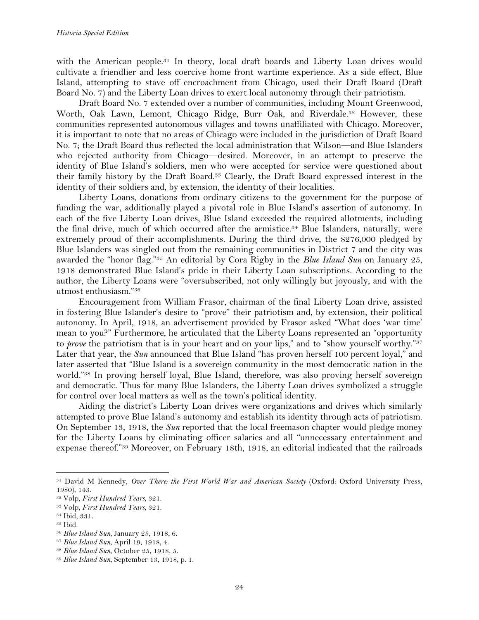with the American people.<sup>31</sup> In theory, local draft boards and Liberty Loan drives would cultivate a friendlier and less coercive home front wartime experience. As a side effect, Blue Island, attempting to stave off encroachment from Chicago, used their Draft Board (Draft Board No. 7) and the Liberty Loan drives to exert local autonomy through their patriotism.

Draft Board No. 7 extended over a number of communities, including Mount Greenwood, Worth, Oak Lawn, Lemont, Chicago Ridge, Burr Oak, and Riverdale.<sup>32</sup> However, these communities represented autonomous villages and towns unaffiliated with Chicago. Moreover, it is important to note that no areas of Chicago were included in the jurisdiction of Draft Board No. 7; the Draft Board thus reflected the local administration that Wilson—and Blue Islanders who rejected authority from Chicago—desired. Moreover, in an attempt to preserve the identity of Blue Island's soldiers, men who were accepted for service were questioned about their family history by the Draft Board.33 Clearly, the Draft Board expressed interest in the identity of their soldiers and, by extension, the identity of their localities.

Liberty Loans, donations from ordinary citizens to the government for the purpose of funding the war, additionally played a pivotal role in Blue Island's assertion of autonomy. In each of the five Liberty Loan drives, Blue Island exceeded the required allotments, including the final drive, much of which occurred after the armistice.<sup>34</sup> Blue Islanders, naturally, were extremely proud of their accomplishments. During the third drive, the \$276,000 pledged by Blue Islanders was singled out from the remaining communities in District 7 and the city was awarded the "honor flag."35 An editorial by Cora Rigby in the *Blue Island Sun* on January 25, 1918 demonstrated Blue Island's pride in their Liberty Loan subscriptions. According to the author, the Liberty Loans were "oversubscribed, not only willingly but joyously, and with the utmost enthusiasm."36

Encouragement from William Frasor, chairman of the final Liberty Loan drive, assisted in fostering Blue Islander's desire to "prove" their patriotism and, by extension, their political autonomy. In April, 1918, an advertisement provided by Frasor asked "What does 'war time' mean to you?" Furthermore, he articulated that the Liberty Loans represented an "opportunity to *prove* the patriotism that is in your heart and on your lips," and to "show yourself worthy."37 Later that year, the *Sun* announced that Blue Island "has proven herself 100 percent loyal," and later asserted that "Blue Island is a sovereign community in the most democratic nation in the world."38 In proving herself loyal, Blue Island, therefore, was also proving herself sovereign and democratic. Thus for many Blue Islanders, the Liberty Loan drives symbolized a struggle for control over local matters as well as the town's political identity.

Aiding the district's Liberty Loan drives were organizations and drives which similarly attempted to prove Blue Island's autonomy and establish its identity through acts of patriotism. On September 13, 1918, the *Sun* reported that the local freemason chapter would pledge money for the Liberty Loans by eliminating officer salaries and all "unnecessary entertainment and expense thereof."39 Moreover, on February 18th, 1918, an editorial indicated that the railroads

<sup>31</sup> David M Kennedy, *Over There: the First World War and American Society* (Oxford: Oxford University Press, 1980), 143.

<sup>32</sup> Volp, *First Hundred Years*, 321.

<sup>33</sup> Volp, *First Hundred Years*, 321.

<sup>34</sup> Ibid, 331.

<sup>35</sup> Ibid.

<sup>36</sup> *Blue Island Sun*, January 25, 1918, 6.

<sup>37</sup> *Blue Island Sun*, April 19, 1918, 4.

<sup>38</sup> *Blue Island Sun*, October 25, 1918, 5.

<sup>39</sup> *Blue Island Sun*, September 13, 1918, p. 1.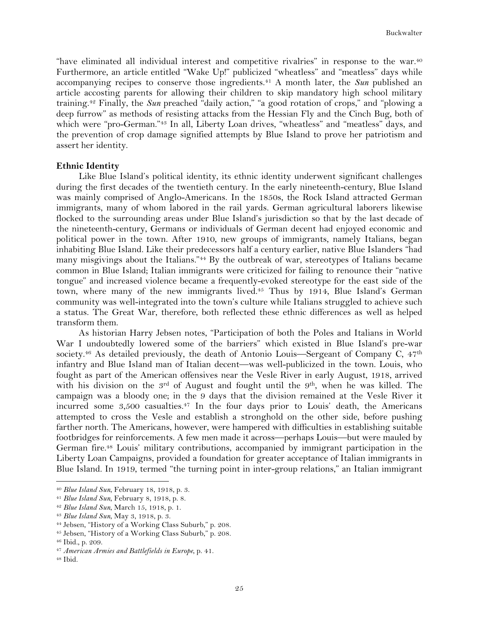"have eliminated all individual interest and competitive rivalries" in response to the war.40 Furthermore, an article entitled "Wake Up!" publicized "wheatless" and "meatless" days while accompanying recipes to conserve those ingredients.<sup>41</sup> A month later, the *Sun* published an article accosting parents for allowing their children to skip mandatory high school military training.42 Finally, the *Sun* preached "daily action," "a good rotation of crops," and "plowing a deep furrow" as methods of resisting attacks from the Hessian Fly and the Cinch Bug, both of which were "pro-German."<sup>43</sup> In all, Liberty Loan drives, "wheatless" and "meatless" days, and the prevention of crop damage signified attempts by Blue Island to prove her patriotism and assert her identity.

## **Ethnic Identity**

Like Blue Island's political identity, its ethnic identity underwent significant challenges during the first decades of the twentieth century. In the early nineteenth-century, Blue Island was mainly comprised of Anglo-Americans. In the 1850s, the Rock Island attracted German immigrants, many of whom labored in the rail yards. German agricultural laborers likewise flocked to the surrounding areas under Blue Island's jurisdiction so that by the last decade of the nineteenth-century, Germans or individuals of German decent had enjoyed economic and political power in the town. After 1910, new groups of immigrants, namely Italians, began inhabiting Blue Island. Like their predecessors half a century earlier, native Blue Islanders "had many misgivings about the Italians."44 By the outbreak of war, stereotypes of Italians became common in Blue Island; Italian immigrants were criticized for failing to renounce their "native tongue" and increased violence became a frequently-evoked stereotype for the east side of the town, where many of the new immigrants lived.45 Thus by 1914, Blue Island's German community was well-integrated into the town's culture while Italians struggled to achieve such a status. The Great War, therefore, both reflected these ethnic differences as well as helped transform them.

As historian Harry Jebsen notes, "Participation of both the Poles and Italians in World War I undoubtedly lowered some of the barriers" which existed in Blue Island's pre-war society.<sup>46</sup> As detailed previously, the death of Antonio Louis—Sergeant of Company C,  $47<sup>th</sup>$ infantry and Blue Island man of Italian decent—was well-publicized in the town. Louis, who fought as part of the American offensives near the Vesle River in early August, 1918, arrived with his division on the  $3<sup>rd</sup>$  of August and fought until the  $9<sup>th</sup>$ , when he was killed. The campaign was a bloody one; in the 9 days that the division remained at the Vesle River it incurred some 3,500 casualties.<sup>47</sup> In the four days prior to Louis' death, the Americans attempted to cross the Vesle and establish a stronghold on the other side, before pushing farther north. The Americans, however, were hampered with difficulties in establishing suitable footbridges for reinforcements. A few men made it across—perhaps Louis—but were mauled by German fire.48 Louis' military contributions, accompanied by immigrant participation in the Liberty Loan Campaigns, provided a foundation for greater acceptance of Italian immigrants in Blue Island. In 1919, termed "the turning point in inter-group relations," an Italian immigrant

<sup>40</sup> *Blue Island Sun*, February 18, 1918, p. 3.

<sup>41</sup> *Blue Island Sun*, February 8, 1918, p. 8.

<sup>42</sup> *Blue Island Sun*, March 15, 1918, p. 1.

<sup>43</sup> *Blue Island Sun*, May 3, 1918, p. 3.

<sup>44</sup> Jebsen, "History of a Working Class Suburb," p. 208.

<sup>45</sup> Jebsen, "History of a Working Class Suburb," p. 208.

<sup>46</sup> Ibid., p. 209.

<sup>47</sup> *American Armies and Battlefields in Europe*, p. 41.

<sup>48</sup> Ibid.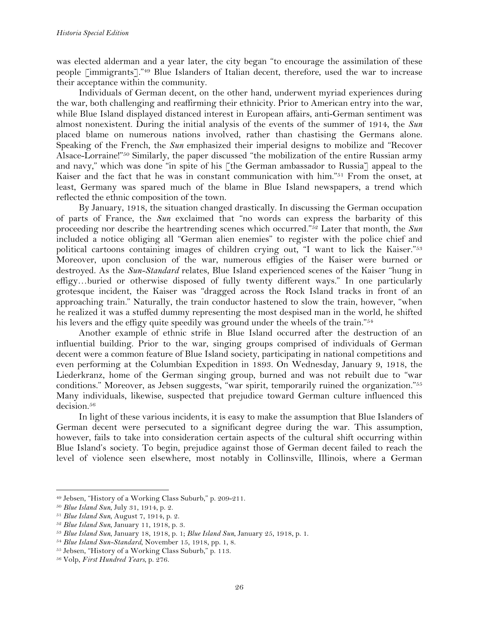was elected alderman and a year later, the city began "to encourage the assimilation of these people [immigrants]."49 Blue Islanders of Italian decent, therefore, used the war to increase their acceptance within the community.

Individuals of German decent, on the other hand, underwent myriad experiences during the war, both challenging and reaffirming their ethnicity. Prior to American entry into the war, while Blue Island displayed distanced interest in European affairs, anti-German sentiment was almost nonexistent. During the initial analysis of the events of the summer of 1914, the *Sun* placed blame on numerous nations involved, rather than chastising the Germans alone. Speaking of the French, the *Sun* emphasized their imperial designs to mobilize and "Recover Alsace-Lorraine!"50 Similarly, the paper discussed "the mobilization of the entire Russian army and navy," which was done "in spite of his [the German ambassador to Russia] appeal to the Kaiser and the fact that he was in constant communication with him."51 From the onset, at least, Germany was spared much of the blame in Blue Island newspapers, a trend which reflected the ethnic composition of the town.

By January, 1918, the situation changed drastically. In discussing the German occupation of parts of France, the *Sun* exclaimed that "no words can express the barbarity of this proceeding nor describe the heartrending scenes which occurred."52 Later that month, the *Sun* included a notice obliging all "German alien enemies" to register with the police chief and political cartoons containing images of children crying out, "I want to lick the Kaiser."53 Moreover, upon conclusion of the war, numerous effigies of the Kaiser were burned or destroyed. As the *Sun-Standard* relates, Blue Island experienced scenes of the Kaiser "hung in effigy…buried or otherwise disposed of fully twenty different ways." In one particularly grotesque incident, the Kaiser was "dragged across the Rock Island tracks in front of an approaching train." Naturally, the train conductor hastened to slow the train, however, "when he realized it was a stuffed dummy representing the most despised man in the world, he shifted his levers and the effigy quite speedily was ground under the wheels of the train."54

Another example of ethnic strife in Blue Island occurred after the destruction of an influential building. Prior to the war, singing groups comprised of individuals of German decent were a common feature of Blue Island society, participating in national competitions and even performing at the Columbian Expedition in 1893. On Wednesday, January 9, 1918, the Liederkranz, home of the German singing group, burned and was not rebuilt due to "war conditions." Moreover, as Jebsen suggests, "war spirit, temporarily ruined the organization."<sup>55</sup> Many individuals, likewise, suspected that prejudice toward German culture influenced this decision.56

In light of these various incidents, it is easy to make the assumption that Blue Islanders of German decent were persecuted to a significant degree during the war. This assumption, however, fails to take into consideration certain aspects of the cultural shift occurring within Blue Island's society. To begin, prejudice against those of German decent failed to reach the level of violence seen elsewhere, most notably in Collinsville, Illinois, where a German

<sup>49</sup> Jebsen, "History of a Working Class Suburb," p. 209-211.

<sup>50</sup> *Blue Island Sun*, July 31, 1914, p. 2.

<sup>51</sup> *Blue Island Sun*, August 7, 1914, p. 2.

<sup>52</sup> *Blue Island Sun*, January 11, 1918, p. 3.

<sup>53</sup> *Blue Island Sun*, January 18, 1918, p. 1; *Blue Island Sun*, January 25, 1918, p. 1.

<sup>54</sup> *Blue Island Sun-Standard*, November 15, 1918, pp. 1, 8.

<sup>55</sup> Jebsen, "History of a Working Class Suburb," p. 113.

<sup>56</sup> Volp, *First Hundred Years*, p. 276.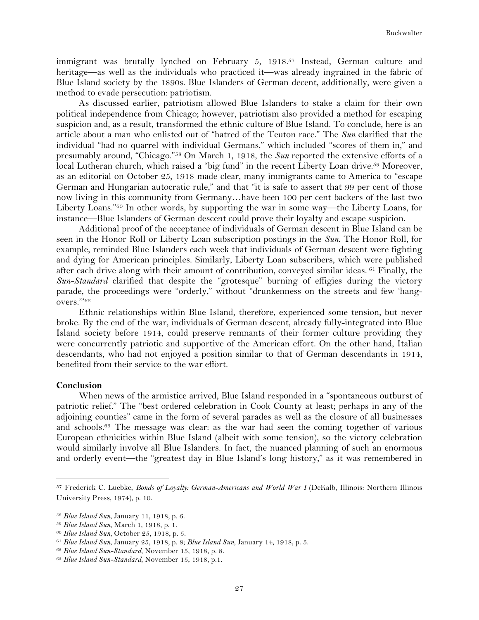immigrant was brutally lynched on February 5, 1918.<sup>57</sup> Instead, German culture and heritage—as well as the individuals who practiced it—was already ingrained in the fabric of Blue Island society by the 1890s. Blue Islanders of German decent, additionally, were given a method to evade persecution: patriotism.

As discussed earlier, patriotism allowed Blue Islanders to stake a claim for their own political independence from Chicago; however, patriotism also provided a method for escaping suspicion and, as a result, transformed the ethnic culture of Blue Island. To conclude, here is an article about a man who enlisted out of "hatred of the Teuton race." The *Sun* clarified that the individual "had no quarrel with individual Germans," which included "scores of them in," and presumably around, "Chicago."58 On March 1, 1918, the *Sun* reported the extensive efforts of a local Lutheran church, which raised a "big fund" in the recent Liberty Loan drive.<sup>59</sup> Moreover, as an editorial on October 25, 1918 made clear, many immigrants came to America to "escape German and Hungarian autocratic rule," and that "it is safe to assert that 99 per cent of those now living in this community from Germany…have been 100 per cent backers of the last two Liberty Loans."60 In other words, by supporting the war in some way—the Liberty Loans, for instance—Blue Islanders of German descent could prove their loyalty and escape suspicion.

Additional proof of the acceptance of individuals of German descent in Blue Island can be seen in the Honor Roll or Liberty Loan subscription postings in the *Sun*. The Honor Roll, for example, reminded Blue Islanders each week that individuals of German descent were fighting and dying for American principles. Similarly, Liberty Loan subscribers, which were published after each drive along with their amount of contribution, conveyed similar ideas. <sup>61</sup> Finally, the *Sun-Standard* clarified that despite the "grotesque" burning of effigies during the victory parade, the proceedings were "orderly," without "drunkenness on the streets and few 'hangovers.'"62

Ethnic relationships within Blue Island, therefore, experienced some tension, but never broke. By the end of the war, individuals of German descent, already fully-integrated into Blue Island society before 1914, could preserve remnants of their former culture providing they were concurrently patriotic and supportive of the American effort. On the other hand, Italian descendants, who had not enjoyed a position similar to that of German descendants in 1914, benefited from their service to the war effort.

## **Conclusion**

When news of the armistice arrived, Blue Island responded in a "spontaneous outburst of patriotic relief." The "best ordered celebration in Cook County at least; perhaps in any of the adjoining counties" came in the form of several parades as well as the closure of all businesses and schools.63 The message was clear: as the war had seen the coming together of various European ethnicities within Blue Island (albeit with some tension), so the victory celebration would similarly involve all Blue Islanders. In fact, the nuanced planning of such an enormous and orderly event—the "greatest day in Blue Island's long history," as it was remembered in

<sup>57</sup> Frederick C. Luebke, *Bonds of Loyalty: German-Americans and World War I* (DeKalb, Illinois: Northern Illinois University Press, 1974), p. 10.

<sup>58</sup> *Blue Island Sun*, January 11, 1918, p. 6.

<sup>59</sup> *Blue Island Sun*, March 1, 1918, p. 1.

<sup>60</sup> *Blue Island Sun*, October 25, 1918, p. 5.

<sup>61</sup> *Blue Island Sun*, January 25, 1918, p. 8; *Blue Island Sun*, January 14, 1918, p. 5.

<sup>62</sup> *Blue Island Sun-Standard*, November 15, 1918, p. 8.

<sup>63</sup> *Blue Island Sun-Standard*, November 15, 1918, p.1.